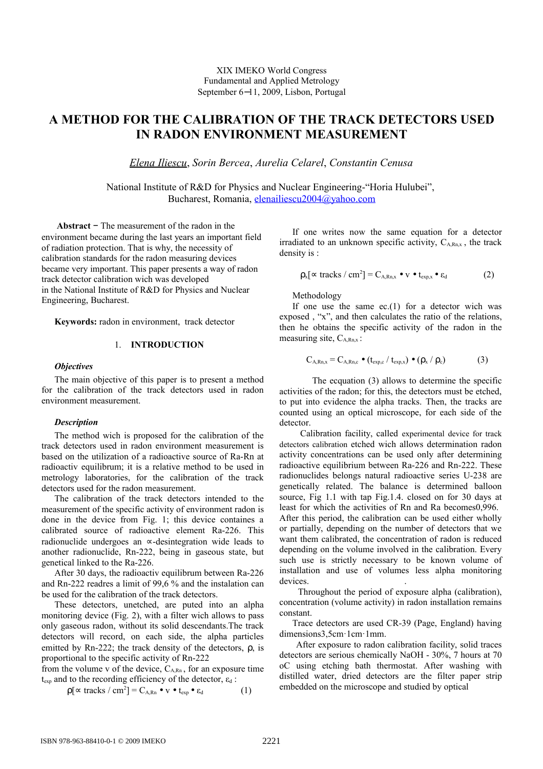XIX IMEKO World Congress Fundamental and Applied Metrology September 6−11, 2009, Lisbon, Portugal

# **A METHOD FOR THE CALIBRATION OF THE TRACK DETECTORS USED IN RADON ENVIRONMENT MEASUREMENT**

*Elena Iliescu*, *Sorin Bercea*, *Aurelia Celarel*, *Constantin Cenusa*

National Institute of R&D for Physics and Nuclear Engineering-"Horia Hulubei", Bucharest, Romania, [elenailiescu2004@yahoo.com](mailto:elenailiescu2004@yahoo.com)

 **Abstract** − The measurement of the radon in the environment became during the last years an important field of radiation protection. That is why, the necessity of calibration standards for the radon measuring devices became very important. This paper presents a way of radon track detector calibration wich was developed in the National Institute of R&D for Physics and Nuclear Engineering, Bucharest.

**Keywords:** radon in environment, track detector

# 1. **INTRODUCTION**

#### *Objectives*

The main objective of this paper is to present a method for the calibration of the track detectors used in radon environment measurement.

#### *Description*

The method wich is proposed for the calibration of the track detectors used in radon environment measurement is based on the utilization of a radioactive source of Ra-Rn at radioactiv equilibrum; it is a relative method to be used in metrology laboratories, for the calibration of the track detectors used for the radon measurement.

The calibration of the track detectors intended to the measurement of the specific activity of environment radon is done in the device from Fig. 1; this device containes a calibrated source of radioactive element Ra-226. This radionuclide undergoes an ∝-desintegration wide leads to another radionuclide, Rn-222, being in gaseous state, but genetical linked to the Ra-226.

After 30 days, the radioactiv equilibrum between Ra-226 and Rn-222 readres a limit of 99,6 % and the instalation can be used for the calibration of the track detectors.

These detectors, unetched, are puted into an alpha monitoring device (Fig. 2), with a filter wich allows to pass only gaseous radon, without its solid descendants.The track detectors will record, on each side, the alpha particles emitted by Rn-222; the track density of the detectors, ρ, is proportional to the specific activity of Rn-222

from the volume v of the device,  $C_{ARn}$ , for an exposure time  $t_{\text{exp}}$  and to the recording efficiency of the detector,  $\varepsilon_d$ :

$$
\rho[\infty \text{ tracks } / \text{ cm}^2] = C_{A, Rn} \bullet \text{ v} \bullet t_{\text{exp}} \bullet \varepsilon_d \tag{1}
$$

If one writes now the same equation for a detector irradiated to an unknown specific activity,  $C_{A,Rn,x}$ , the track density is :

$$
\rho_x[\propto \text{tracks} / \text{cm}^2] = C_{A, Rn, x} \bullet v \bullet t_{\text{exp}, x} \bullet \varepsilon_d \tag{2}
$$

Methodology

If one use the same  $ec(1)$  for a detector wich was exposed , "x", and then calculates the ratio of the relations, then he obtains the specific activity of the radon in the measuring site,  $C_{APR}$ :

$$
C_{A, Rn, x} = C_{A, Rn, c} \bullet (t_{exp, c} / t_{exp, x}) \bullet (\rho_x / \rho_c)
$$
 (3)

The ecquation (3) allows to determine the specific activities of the radon; for this, the detectors must be etched, to put into evidence the alpha tracks. Then, the tracks are counted using an optical microscope, for each side of the detector.

 Calibration facility, called experimental device for track detectors calibration etched wich allows determination radon activity concentrations can be used only after determining radioactive equilibrium between Ra-226 and Rn-222. These radionuclides belongs natural radioactive series U-238 are genetically related. The balance is determined balloon source, Fig 1.1 with tap Fig.1.4. closed on for 30 days at least for which the activities of Rn and Ra becomes0,996. After this period, the calibration can be used either wholly or partially, depending on the number of detectors that we want them calibrated, the concentration of radon is reduced depending on the volume involved in the calibration. Every such use is strictly necessary to be known volume of installation and use of volumes less alpha monitoring devices.

 Throughout the period of exposure alpha (calibration), concentration (volume activity) in radon installation remains constant.

Trace detectors are used CR-39 (Page, England) having dimensions3,5cm·1cm·1mm.

 After exposure to radon calibration facility, solid traces detectors are serious chemically NaOH - 30%, 7 hours at 70 oC using etching bath thermostat. After washing with distilled water, dried detectors are the filter paper strip embedded on the microscope and studied by optical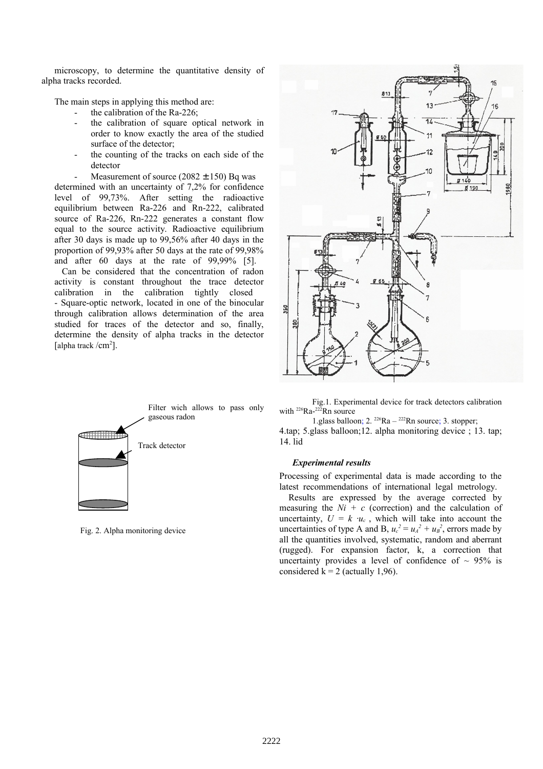microscopy, to determine the quantitative density of alpha tracks recorded.

The main steps in applying this method are:

- the calibration of the Ra-226;
- the calibration of square optical network in order to know exactly the area of the studied surface of the detector;
- the counting of the tracks on each side of the detector

Measurement of source  $(2082 \pm 150)$  Bq was

determined with an uncertainty of 7,2% for confidence level of 99,73%. After setting the radioactive equilibrium between Ra-226 and Rn-222, calibrated source of Ra-226, Rn-222 generates a constant flow equal to the source activity. Radioactive equilibrium after 30 days is made up to 99,56% after 40 days in the proportion of 99,93% after 50 days at the rate of 99,98% and after 60 days at the rate of 99,99% [5].

 Can be considered that the concentration of radon activity is constant throughout the trace detector calibration in the calibration tightly closed - Square-optic network, located in one of the binocular through calibration allows determination of the area studied for traces of the detector and so, finally, determine the density of alpha tracks in the detector [alpha track /cm<sup>2</sup>].



Fig. 2. Alpha monitoring device



Fig.1. Experimental device for track detectors calibration with  $^{226}Ra - ^{222}Rn$  source

1.glass balloon;  $2. \frac{226}{R}$ Ra –  $\frac{222}{R}$ Rn source; 3. stopper;

4.tap; 5.glass balloon;12. alpha monitoring device ; 13. tap; 14. lid

### *Experimental results*

Processing of experimental data is made according to the latest recommendations of international legal metrology.

 Results are expressed by the average corrected by measuring the  $Ni + c$  (correction) and the calculation of uncertainty,  $U = k \cdot u_c$ , which will take into account the uncertainties of type A and B,  $u_c^2 = u_A^2 + u_B^2$ , errors made by all the quantities involved, systematic, random and aberrant (rugged). For expansion factor, k, a correction that uncertainty provides a level of confidence of  $\sim$  95% is considered  $k = 2$  (actually 1,96).